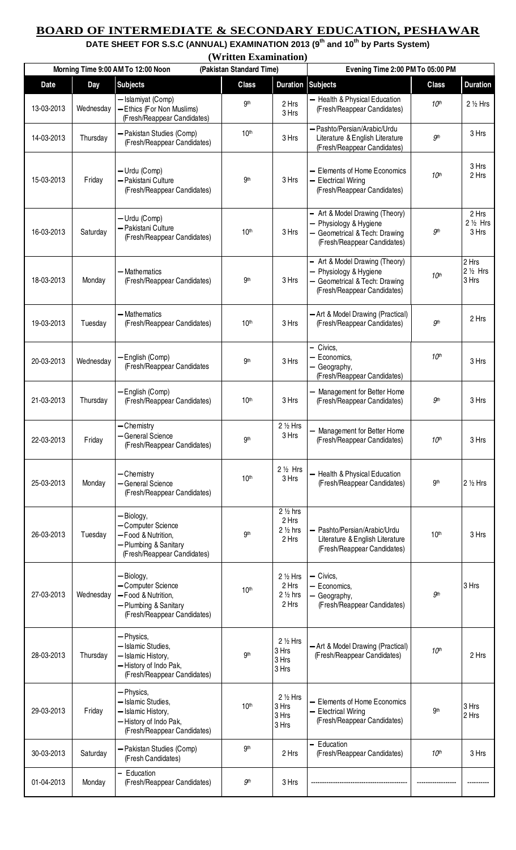## **BOARD OF INTERMEDIATE & SECONDARY EDUCATION, PESHAWAR**

**DATE SHEET FOR S.S.C (ANNUAL) EXAMINATION 2013 (9th and 10th by Parts System)** 

|             |           | (Written Examination)                                                                                           |                                  |                                                            |                                                                                                                    |                  |                                      |
|-------------|-----------|-----------------------------------------------------------------------------------------------------------------|----------------------------------|------------------------------------------------------------|--------------------------------------------------------------------------------------------------------------------|------------------|--------------------------------------|
|             |           | (Pakistan Standard Time)<br>Morning Time 9:00 AM To 12:00 Noon                                                  | Evening Time 2:00 PM To 05:00 PM |                                                            |                                                                                                                    |                  |                                      |
| <b>Date</b> | Day       | <b>Subjects</b>                                                                                                 | <b>Class</b>                     | <b>Duration</b>                                            | <b>Subjects</b>                                                                                                    | <b>Class</b>     | <b>Duration</b>                      |
| 13-03-2013  | Wednesday | - Islamiyat (Comp)<br>Ethics (For Non Muslims)<br>(Fresh/Reappear Candidates)                                   | 9 <sup>th</sup>                  | 2 Hrs<br>3 Hrs                                             | - Health & Physical Education<br>(Fresh/Reappear Candidates)                                                       | 10 <sup>th</sup> | 2 1/2 Hrs                            |
| 14-03-2013  | Thursday  | - Pakistan Studies (Comp)<br>(Fresh/Reappear Candidates)                                                        | 10 <sup>th</sup>                 | 3 Hrs                                                      | - Pashto/Persian/Arabic/Urdu<br>Literature & English Literature<br>(Fresh/Reappear Candidates)                     | gth              | 3 Hrs                                |
| 15-03-2013  | Friday    | - Urdu (Comp)<br>- Pakistani Culture<br>(Fresh/Reappear Candidates)                                             | gth                              | 3 Hrs                                                      | <b>Elements of Home Economics</b><br><b>Electrical Wiring</b><br>(Fresh/Reappear Candidates)                       | 10 <sup>th</sup> | 3 Hrs<br>2 Hrs                       |
| 16-03-2013  | Saturday  | - Urdu (Comp)<br>Pakistani Culture<br>(Fresh/Reappear Candidates)                                               | 10 <sup>th</sup>                 | 3 Hrs                                                      | Art & Model Drawing (Theory)<br>Physiology & Hygiene<br>Geometrical & Tech: Drawing<br>(Fresh/Reappear Candidates) | $g$ th           | 2 Hrs<br>2 1/2 Hrs<br>3 Hrs          |
| 18-03-2013  | Monday    | - Mathematics<br>(Fresh/Reappear Candidates)                                                                    | 9 <sup>th</sup>                  | 3 Hrs                                                      | Art & Model Drawing (Theory)<br>Physiology & Hygiene<br>Geometrical & Tech: Drawing<br>(Fresh/Reappear Candidates) | 10 <sup>th</sup> | 2 Hrs<br>$2\frac{1}{2}$ Hrs<br>3 Hrs |
| 19-03-2013  | Tuesday   | - Mathematics<br>(Fresh/Reappear Candidates)                                                                    | 10 <sup>th</sup>                 | 3 Hrs                                                      | - Art & Model Drawing (Practical)<br>(Fresh/Reappear Candidates)                                                   | gth              | 2 Hrs                                |
| 20-03-2013  | Wednesday | English (Comp)<br>(Fresh/Reappear Candidates                                                                    | 9 <sup>th</sup>                  | 3 Hrs                                                      | Civics,<br>Economics,<br>Geography,<br>(Fresh/Reappear Candidates)                                                 | 10 <sup>th</sup> | 3 Hrs                                |
| 21-03-2013  | Thursday  | - English (Comp)<br>(Fresh/Reappear Candidates)                                                                 | 10 <sup>th</sup>                 | 3 Hrs                                                      | Management for Better Home<br>(Fresh/Reappear Candidates)                                                          | gth              | 3 Hrs                                |
| 22-03-2013  | Friday    | - Chemistry<br>- General Science<br>(Fresh/Reappear Candidates)                                                 | 9 <sup>th</sup>                  | 2 1/2 Hrs<br>3 Hrs                                         | Management for Better Home<br>(Fresh/Reappear Candidates)                                                          | 10 <sup>th</sup> | 3 Hrs                                |
| 25-03-2013  | Monday    | - Chemistry<br><b>General Science</b><br>(Fresh/Reappear Candidates)                                            | 10 <sup>th</sup>                 | $2\frac{1}{2}$ Hrs<br>3 Hrs                                | Health & Physical Education<br>(Fresh/Reappear Candidates)                                                         | 9 <sup>th</sup>  | 2 1/2 Hrs                            |
| 26-03-2013  | Tuesday   | Biology,<br>- Computer Science<br>- Food & Nutrition,<br>- Plumbing & Sanitary<br>(Fresh/Reappear Candidates)   | gth                              | $2\frac{1}{2}$ hrs<br>2 Hrs<br>$2\frac{1}{2}$ hrs<br>2 Hrs | Pashto/Persian/Arabic/Urdu<br>Literature & English Literature<br>(Fresh/Reappear Candidates)                       | 10 <sup>th</sup> | 3 Hrs                                |
| 27-03-2013  | Wednesday | - Biology,<br>- Computer Science<br>- Food & Nutrition,<br>- Plumbing & Sanitary<br>(Fresh/Reappear Candidates) | 10 <sup>th</sup>                 | 2 1/2 Hrs<br>2 Hrs<br>$2\frac{1}{2}$ hrs<br>2 Hrs          | Civics,<br>Economics,<br>Geography,<br>(Fresh/Reappear Candidates)                                                 | .9th             | 3 Hrs                                |
| 28-03-2013  | Thursday  | - Physics,<br>- Islamic Studies,<br>- Islamic History,<br>- History of Indo Pak,<br>(Fresh/Reappear Candidates) | 9 <sup>th</sup>                  | 2 1/2 Hrs<br>3 Hrs<br>3 Hrs<br>3 Hrs                       | - Art & Model Drawing (Practical)<br>(Fresh/Reappear Candidates)                                                   | 10 <sup>th</sup> | 2 Hrs                                |
| 29-03-2013  | Friday    | - Physics,<br>- Islamic Studies,<br>- Islamic History,<br>- History of Indo Pak,<br>(Fresh/Reappear Candidates) | 10 <sup>th</sup>                 | 2 1/2 Hrs<br>3 Hrs<br>3 Hrs<br>3 Hrs                       | Elements of Home Economics<br><b>Electrical Wiring</b><br>(Fresh/Reappear Candidates)                              | gth              | 3 Hrs<br>2 Hrs                       |
| 30-03-2013  | Saturday  | Pakistan Studies (Comp)<br>(Fresh Candidates)                                                                   | gth                              | 2 Hrs                                                      | Education<br>$\overline{\phantom{0}}$<br>(Fresh/Reappear Candidates)                                               | 10 <sup>th</sup> | 3 Hrs                                |
| 01-04-2013  | Monday    | Education<br>(Fresh/Reappear Candidates)                                                                        | <b>gth</b>                       | 3 Hrs                                                      |                                                                                                                    |                  |                                      |